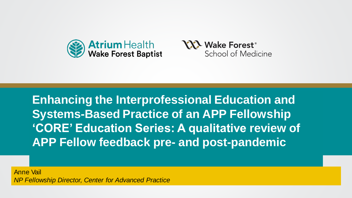



**Systems-Based Practice of an APP Fellowship** aucalion Series. A qualitative revier<br>Cubation Thomas **Enhancing the Interprofessional Education and 'CORE' Education Series: A qualitative review of APP Fellow feedback pre- and post-pandemic**

*NP Fellowship Director, Center for Advanced Practice* Anne Vail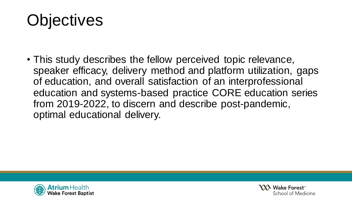## **Objectives**

• This study describes the fellow perceived topic relevance, speaker efficacy, delivery method and platform utilization, gaps of education, and overall satisfaction of an interprofessional education and systems-based practice CORE education series from 2019-2022, to discern and describe post-pandemic, optimal educational delivery.



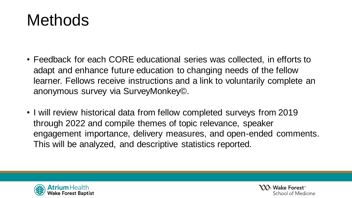## **Methods**

- Feedback for each CORE educational series was collected, in efforts to adapt and enhance future education to changing needs of the fellow learner. Fellows receive instructions and a link to voluntarily complete an anonymous survey via SurveyMonkey©.
- I will review historical data from fellow completed surveys from 2019 through 2022 and compile themes of topic relevance, speaker engagement importance, delivery measures, and open-ended comments. This will be analyzed, and descriptive statistics reported.



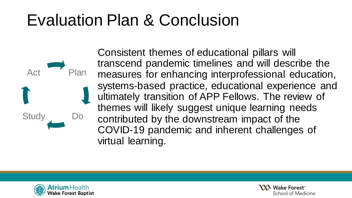## Evaluation Plan & Conclusion

Consistent themes of educational pillars will transcend pandemic timelines and will describe the measures for enhancing interprofessional education, systems-based practice, educational experience and ultimately transition of APP Fellows. The review of themes will likely suggest unique learning needs contributed by the downstream impact of the COVID-19 pandemic and inherent challenges of virtual learning.



Study

Act

Plan

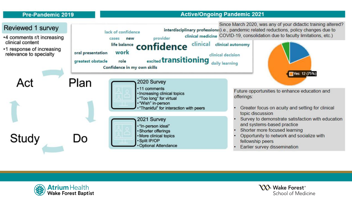